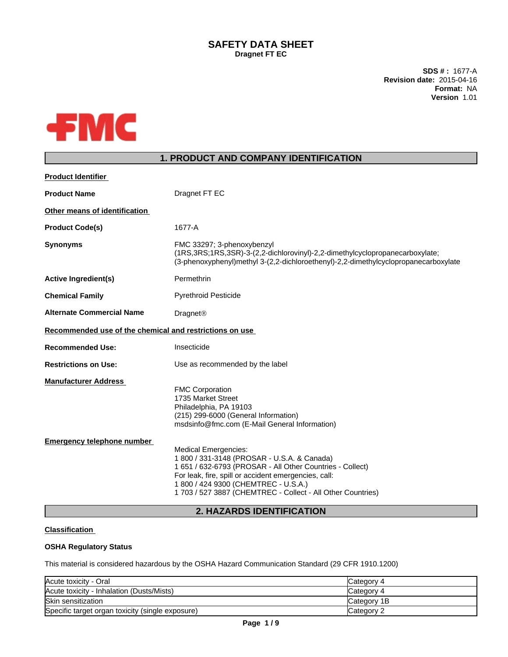# **SAFETY DATA SHEET Dragnet FT EC**

**SDS # :** 1677-A **Revision date:** 2015-04-16 **Format:** NA **Version** 1.01



# **1. PRODUCT AND COMPANY IDENTIFICATION**

| Dragnet FT EC                                                                                                                                                                                                                                                                                                                                                                                                                                                             |
|---------------------------------------------------------------------------------------------------------------------------------------------------------------------------------------------------------------------------------------------------------------------------------------------------------------------------------------------------------------------------------------------------------------------------------------------------------------------------|
|                                                                                                                                                                                                                                                                                                                                                                                                                                                                           |
| 1677-A                                                                                                                                                                                                                                                                                                                                                                                                                                                                    |
| FMC 33297; 3-phenoxybenzyl<br>(1RS, 3RS; 1RS, 3SR)-3-(2, 2-dichlorovinyl)-2, 2-dimethylcyclopropanecarboxylate;<br>(3-phenoxyphenyl)methyl 3-(2,2-dichloroethenyl)-2,2-dimethylcyclopropanecarboxylate                                                                                                                                                                                                                                                                    |
| Permethrin                                                                                                                                                                                                                                                                                                                                                                                                                                                                |
| <b>Pyrethroid Pesticide</b>                                                                                                                                                                                                                                                                                                                                                                                                                                               |
| <b>Dragnet®</b>                                                                                                                                                                                                                                                                                                                                                                                                                                                           |
| Recommended use of the chemical and restrictions on use                                                                                                                                                                                                                                                                                                                                                                                                                   |
| Insecticide                                                                                                                                                                                                                                                                                                                                                                                                                                                               |
| Use as recommended by the label                                                                                                                                                                                                                                                                                                                                                                                                                                           |
| <b>FMC Corporation</b><br>1735 Market Street<br>Philadelphia, PA 19103<br>(215) 299-6000 (General Information)<br>msdsinfo@fmc.com (E-Mail General Information)<br><b>Medical Emergencies:</b><br>1 800 / 331-3148 (PROSAR - U.S.A. & Canada)<br>1 651 / 632-6793 (PROSAR - All Other Countries - Collect)<br>For leak, fire, spill or accident emergencies, call:<br>1 800 / 424 9300 (CHEMTREC - U.S.A.)<br>1 703 / 527 3887 (CHEMTREC - Collect - All Other Countries) |
|                                                                                                                                                                                                                                                                                                                                                                                                                                                                           |

# **2. HAZARDS IDENTIFICATION**

## **Classification**

### **OSHA Regulatory Status**

This material is considered hazardous by the OSHA Hazard Communication Standard (29 CFR 1910.1200)

| Acute toxicity - Oral                            | Category 4          |
|--------------------------------------------------|---------------------|
| Acute toxicity - Inhalation (Dusts/Mists)        | Category 4          |
| Skin sensitization                               | <b>ICategory 1B</b> |
| Specific target organ toxicity (single exposure) | Category 2          |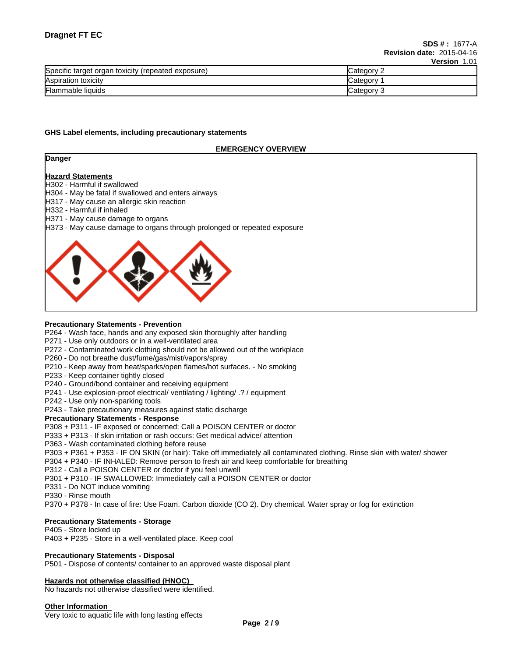|                                                       | 1 Y Y Y IV I I<br>. |
|-------------------------------------------------------|---------------------|
| Specific target organ toxicity<br>(repeated exposure) | ∵atedorv            |
| Aspiration toxicity                                   | ategoryٽ            |
| Flammable liquids                                     | Category<br>ື       |

#### **GHS Label elements, including precautionary statements**

### **EMERGENCY OVERVIEW**

### **Danger**

#### **Hazard Statements**

H302 - Harmful if swallowed

- H304 May be fatal if swallowed and enters airways
- H317 May cause an allergic skin reaction
- H332 Harmful if inhaled
- H371 May cause damage to organs
- H373 May cause damage to organs through prolonged or repeated exposure



#### **Precautionary Statements - Prevention**

- P264 Wash face, hands and any exposed skin thoroughly after handling
- P271 Use only outdoors or in a well-ventilated area
- P272 Contaminated work clothing should not be allowed out of the workplace
- P260 Do not breathe dust/fume/gas/mist/vapors/spray
- P210 Keep away from heat/sparks/open flames/hot surfaces. No smoking
- P233 Keep container tightly closed
- P240 Ground/bond container and receiving equipment
- P241 Use explosion-proof electrical/ ventilating / lighting/ .? / equipment
- P242 Use only non-sparking tools

P243 - Take precautionary measures against static discharge

### **Precautionary Statements - Response**

- P308 + P311 IF exposed or concerned: Call a POISON CENTER or doctor
- P333 + P313 If skin irritation or rash occurs: Get medical advice/ attention
- P363 Wash contaminated clothing before reuse
- P303 + P361 + P353 IF ON SKIN (or hair): Take off immediately all contaminated clothing. Rinse skin with water/ shower P304 + P340 - IF INHALED: Remove person to fresh air and keep comfortable for breathing
- P312 Call a POISON CENTER or doctor if you feel unwell
- P301 + P310 IF SWALLOWED: Immediately call a POISON CENTER or doctor
- P331 Do NOT induce vomiting
- P330 Rinse mouth

P370 + P378 - In case of fire: Use Foam. Carbon dioxide (CO 2). Dry chemical. Water spray or fog for extinction

#### **Precautionary Statements - Storage**

P405 - Store locked up P403 + P235 - Store in a well-ventilated place. Keep cool

#### **Precautionary Statements - Disposal**

P501 - Dispose of contents/ container to an approved waste disposal plant

### **Hazards not otherwise classified (HNOC)**

No hazards not otherwise classified were identified.

#### **Other Information**

Very toxic to aquatic life with long lasting effects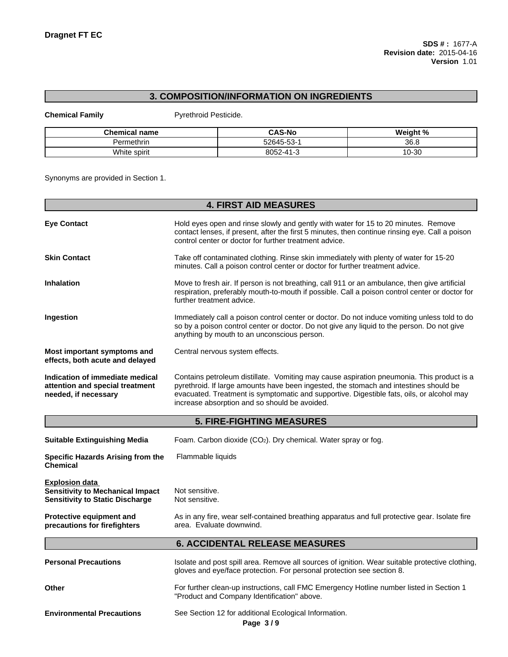# **3. COMPOSITION/INFORMATION ON INGREDIENTS**

**Chemical Family** Pyrethroid Pesticide.

| Chamica.<br>name | <b>CAS-No</b>  | 4 N Z       |
|------------------|----------------|-------------|
| ietnrir          | $\sim$<br>roc. | 26L<br>JU.C |
| White spiri      | ימפ            | -20<br>טכ-י |

Synonyms are provided in Section 1.

|                                                                                                            | <b>4. FIRST AID MEASURES</b>                                                                                                                                                                                                                                                                                                     |
|------------------------------------------------------------------------------------------------------------|----------------------------------------------------------------------------------------------------------------------------------------------------------------------------------------------------------------------------------------------------------------------------------------------------------------------------------|
|                                                                                                            |                                                                                                                                                                                                                                                                                                                                  |
| <b>Eye Contact</b>                                                                                         | Hold eyes open and rinse slowly and gently with water for 15 to 20 minutes. Remove<br>contact lenses, if present, after the first 5 minutes, then continue rinsing eye. Call a poison<br>control center or doctor for further treatment advice.                                                                                  |
| <b>Skin Contact</b>                                                                                        | Take off contaminated clothing. Rinse skin immediately with plenty of water for 15-20<br>minutes. Call a poison control center or doctor for further treatment advice.                                                                                                                                                           |
| <b>Inhalation</b>                                                                                          | Move to fresh air. If person is not breathing, call 911 or an ambulance, then give artificial<br>respiration, preferably mouth-to-mouth if possible. Call a poison control center or doctor for<br>further treatment advice.                                                                                                     |
| Ingestion                                                                                                  | Immediately call a poison control center or doctor. Do not induce vomiting unless told to do<br>so by a poison control center or doctor. Do not give any liquid to the person. Do not give<br>anything by mouth to an unconscious person.                                                                                        |
| Most important symptoms and<br>effects, both acute and delayed                                             | Central nervous system effects.                                                                                                                                                                                                                                                                                                  |
| Indication of immediate medical<br>attention and special treatment<br>needed, if necessary                 | Contains petroleum distillate. Vomiting may cause aspiration pneumonia. This product is a<br>pyrethroid. If large amounts have been ingested, the stomach and intestines should be<br>evacuated. Treatment is symptomatic and supportive. Digestible fats, oils, or alcohol may<br>increase absorption and so should be avoided. |
|                                                                                                            | <b>5. FIRE-FIGHTING MEASURES</b>                                                                                                                                                                                                                                                                                                 |
| <b>Suitable Extinguishing Media</b>                                                                        | Foam. Carbon dioxide (CO <sub>2</sub> ). Dry chemical. Water spray or fog.                                                                                                                                                                                                                                                       |
| Specific Hazards Arising from the<br><b>Chemical</b>                                                       | Flammable liquids                                                                                                                                                                                                                                                                                                                |
| <u>Explosion data</u><br><b>Sensitivity to Mechanical Impact</b><br><b>Sensitivity to Static Discharge</b> | Not sensitive.<br>Not sensitive.                                                                                                                                                                                                                                                                                                 |
| Protective equipment and<br>precautions for firefighters                                                   | As in any fire, wear self-contained breathing apparatus and full protective gear. Isolate fire<br>area. Evaluate downwind.                                                                                                                                                                                                       |
|                                                                                                            | <b>6. ACCIDENTAL RELEASE MEASURES</b>                                                                                                                                                                                                                                                                                            |
| <b>Personal Precautions</b>                                                                                | Isolate and post spill area. Remove all sources of ignition. Wear suitable protective clothing,<br>gloves and eye/face protection. For personal protection see section 8.                                                                                                                                                        |
| Other                                                                                                      | For further clean-up instructions, call FMC Emergency Hotline number listed in Section 1<br>"Product and Company Identification" above.                                                                                                                                                                                          |
| <b>Environmental Precautions</b>                                                                           | See Section 12 for additional Ecological Information.<br>Page 3/9                                                                                                                                                                                                                                                                |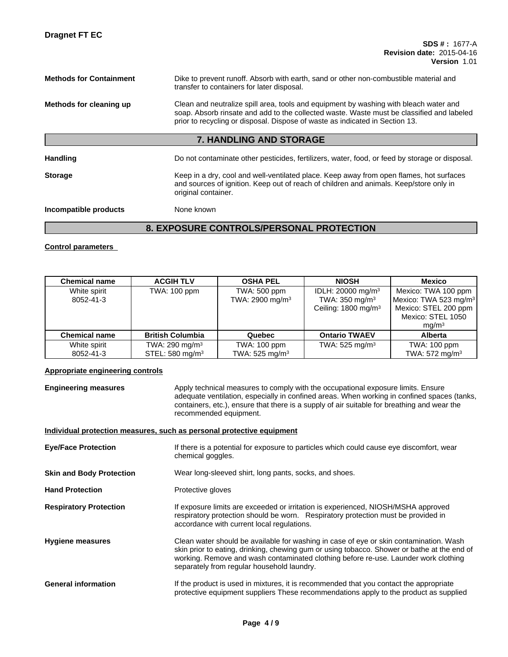# **Methods for Containment** Dike to prevent runoff. Absorb with earth, sand or other non-combustible material and transfer to containers for later disposal. **Methods for cleaning up** Clean and neutralize spill area, tools and equipment by washing with bleach water and soap. Absorb rinsate and add to the collected waste. Waste must be classified and labeled

## **7. HANDLING AND STORAGE**

prior to recycling or disposal. Dispose of waste as indicated in Section 13.

Handling **Handling Do not contaminate other pesticides**, fertilizers, water, food, or feed by storage or disposal. **Storage** Keep in a dry, cool and well-ventilated place. Keep away from open flames, hot surfaces and sources of ignition. Keep out of reach of children and animals. Keep/store only in original container.

### **Incompatible products** None known

# **8. EXPOSURE CONTROLS/PERSONAL PROTECTION**

## **Control parameters**

| <b>Chemical name</b>      | <b>ACGIH TLV</b>                                          | <b>OSHA PEL</b>                                     | <b>NIOSH</b>                                                                                 | Mexico                                                                                                                     |
|---------------------------|-----------------------------------------------------------|-----------------------------------------------------|----------------------------------------------------------------------------------------------|----------------------------------------------------------------------------------------------------------------------------|
| White spirit<br>8052-41-3 | TWA: 100 ppm                                              | TWA: 500 ppm<br>TWA: 2900 mg/m <sup>3</sup>         | IDLH: 20000 mg/m <sup>3</sup><br>TWA: $350 \text{ mg/m}^3$<br>Ceiling: $1800 \text{ mg/m}^3$ | Mexico: TWA 100 ppm<br>Mexico: TWA 523 mg/m <sup>3</sup><br>Mexico: STEL 200 ppm<br>Mexico: STEL 1050<br>mq/m <sup>3</sup> |
| <b>Chemical name</b>      | <b>British Columbia</b>                                   | Quebec                                              | <b>Ontario TWAEV</b>                                                                         | <b>Alberta</b>                                                                                                             |
| White spirit<br>8052-41-3 | TWA: 290 mg/m <sup>3</sup><br>STEL: 580 mg/m <sup>3</sup> | <b>TWA: 100 ppm</b><br>TWA: $525$ mg/m <sup>3</sup> | TWA: $525 \text{ mg/m}^3$                                                                    | TWA: 100 ppm<br>TWA: $572 \text{ mg/m}^3$                                                                                  |

## **Appropriate engineering controls**

**Engineering measures** Apply technical measures to comply with the occupational exposure limits. Ensure adequate ventilation, especially in confined areas. When working in confined spaces (tanks, containers, etc.), ensure that there is a supply of air suitable for breathing and wear the recommended equipment.

#### **Individual protection measures, such as personal protective equipment**

| <b>Eye/Face Protection</b>      | If there is a potential for exposure to particles which could cause eye discomfort, wear<br>chemical goggles.                                                                                                                                                                                                              |
|---------------------------------|----------------------------------------------------------------------------------------------------------------------------------------------------------------------------------------------------------------------------------------------------------------------------------------------------------------------------|
| <b>Skin and Body Protection</b> | Wear long-sleeved shirt, long pants, socks, and shoes.                                                                                                                                                                                                                                                                     |
| <b>Hand Protection</b>          | Protective gloves                                                                                                                                                                                                                                                                                                          |
| <b>Respiratory Protection</b>   | If exposure limits are exceeded or irritation is experienced, NIOSH/MSHA approved<br>respiratory protection should be worn. Respiratory protection must be provided in<br>accordance with current local regulations.                                                                                                       |
| <b>Hygiene measures</b>         | Clean water should be available for washing in case of eye or skin contamination. Wash<br>skin prior to eating, drinking, chewing gum or using tobacco. Shower or bathe at the end of<br>working. Remove and wash contaminated clothing before re-use. Launder work clothing<br>separately from regular household laundry. |
| <b>General information</b>      | If the product is used in mixtures, it is recommended that you contact the appropriate<br>protective equipment suppliers These recommendations apply to the product as supplied                                                                                                                                            |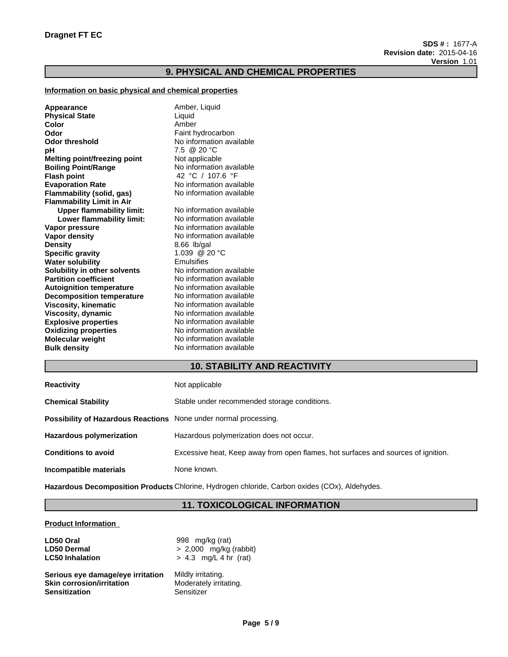# **9. PHYSICAL AND CHEMICAL PROPERTIES**

### **Information on basic physical and chemical properties**

| Appearance                       | Amber, Liquid            |
|----------------------------------|--------------------------|
| <b>Physical State</b>            | Liquid                   |
| Color                            | Amber                    |
| Odor                             | Faint hydrocarbon        |
| Odor threshold                   | No information available |
| рH                               | 7.5 @ 20 °C              |
| Melting point/freezing point     | Not applicable           |
| <b>Boiling Point/Range</b>       | No information available |
| Flash point                      | 42 °C / 107.6 °F         |
| <b>Evaporation Rate</b>          | No information available |
| Flammability (solid, gas)        | No information available |
| <b>Flammability Limit in Air</b> |                          |
| <b>Upper flammability limit:</b> | No information available |
| Lower flammability limit:        | No information available |
| Vapor pressure                   | No information available |
| Vapor density                    | No information available |
| Density                          | $8.66$ lb/gal            |
| <b>Specific gravity</b>          | 1.039 @ 20 °C            |
| Water solubility                 | Emulsifies               |
| Solubility in other solvents     | No information available |
| <b>Partition coefficient</b>     | No information available |
| Autoignition temperature         | No information available |
| <b>Decomposition temperature</b> | No information available |
| Viscosity, kinematic             | No information available |
| Viscosity, dynamic               | No information available |
| <b>Explosive properties</b>      | No information available |
| <b>Oxidizing properties</b>      | No information available |
| Molecular weight                 | No information available |
| <b>Bulk density</b>              | No information available |
|                                  |                          |

# **10. STABILITY AND REACTIVITY**

| <b>Reactivity</b>                                                | Not applicable                                                                    |
|------------------------------------------------------------------|-----------------------------------------------------------------------------------|
| <b>Chemical Stability</b>                                        | Stable under recommended storage conditions.                                      |
| Possibility of Hazardous Reactions None under normal processing. |                                                                                   |
| Hazardous polymerization                                         | Hazardous polymerization does not occur.                                          |
| <b>Conditions to avoid</b>                                       | Excessive heat, Keep away from open flames, hot surfaces and sources of ignition. |
| Incompatible materials                                           | None known.                                                                       |

**Hazardous Decomposition Products** Chlorine, Hydrogen chloride, Carbon oxides (COx), Aldehydes.

# **11. TOXICOLOGICAL INFORMATION**

#### **Product Information**

| LD50 Oral                         | 998 mg/kg (rat)          |
|-----------------------------------|--------------------------|
| <b>LD50 Dermal</b>                | $> 2,000$ mg/kg (rabbit) |
| <b>LC50 Inhalation</b>            | $> 4.3$ mg/L 4 hr (rat)  |
| Serious eye damage/eye irritation | Mildly irritating.       |
| <b>Skin corrosion/irritation</b>  | Moderately irritating.   |
| <b>Sensitization</b>              | Sensitizer               |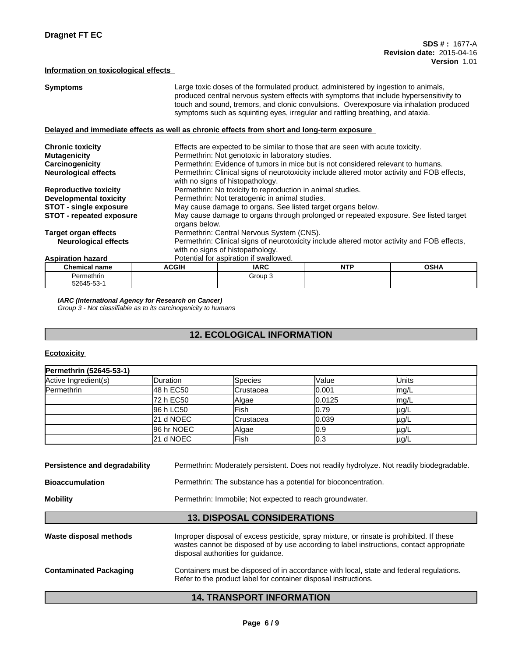#### **Information on toxicological effects**

| <b>Symptoms</b>                 |                                                                                            | Large toxic doses of the formulated product, administered by ingestion to animals,<br>produced central nervous system effects with symptoms that include hypersensitivity to<br>touch and sound, tremors, and clonic convulsions. Overexposure via inhalation produced<br>symptoms such as squinting eyes, irregular and rattling breathing, and ataxia. |            |             |  |  |
|---------------------------------|--------------------------------------------------------------------------------------------|----------------------------------------------------------------------------------------------------------------------------------------------------------------------------------------------------------------------------------------------------------------------------------------------------------------------------------------------------------|------------|-------------|--|--|
|                                 | Delayed and immediate effects as well as chronic effects from short and long-term exposure |                                                                                                                                                                                                                                                                                                                                                          |            |             |  |  |
| <b>Chronic toxicity</b>         |                                                                                            | Effects are expected to be similar to those that are seen with acute toxicity.                                                                                                                                                                                                                                                                           |            |             |  |  |
| <b>Mutagenicity</b>             |                                                                                            | Permethrin: Not genotoxic in laboratory studies.                                                                                                                                                                                                                                                                                                         |            |             |  |  |
| Carcinogenicity                 |                                                                                            | Permethrin: Evidence of tumors in mice but is not considered relevant to humans.                                                                                                                                                                                                                                                                         |            |             |  |  |
| <b>Neurological effects</b>     |                                                                                            | Permethrin: Clinical signs of neurotoxicity include altered motor activity and FOB effects,<br>with no signs of histopathology.                                                                                                                                                                                                                          |            |             |  |  |
| <b>Reproductive toxicity</b>    |                                                                                            | Permethrin: No toxicity to reproduction in animal studies.                                                                                                                                                                                                                                                                                               |            |             |  |  |
| <b>Developmental toxicity</b>   |                                                                                            | Permethrin: Not teratogenic in animal studies.                                                                                                                                                                                                                                                                                                           |            |             |  |  |
| <b>STOT - single exposure</b>   |                                                                                            | May cause damage to organs. See listed target organs below.                                                                                                                                                                                                                                                                                              |            |             |  |  |
| <b>STOT - repeated exposure</b> |                                                                                            | May cause damage to organs through prolonged or repeated exposure. See listed target<br>organs below.                                                                                                                                                                                                                                                    |            |             |  |  |
| <b>Target organ effects</b>     |                                                                                            | Permethrin: Central Nervous System (CNS).                                                                                                                                                                                                                                                                                                                |            |             |  |  |
| <b>Neurological effects</b>     |                                                                                            | Permethrin: Clinical signs of neurotoxicity include altered motor activity and FOB effects,<br>with no signs of histopathology.                                                                                                                                                                                                                          |            |             |  |  |
| <b>Aspiration hazard</b>        |                                                                                            | Potential for aspiration if swallowed.                                                                                                                                                                                                                                                                                                                   |            |             |  |  |
| <b>Chemical name</b>            | <b>ACGIH</b>                                                                               | <b>IARC</b>                                                                                                                                                                                                                                                                                                                                              | <b>NTP</b> | <b>OSHA</b> |  |  |
| Permethrin<br>52645-53-1        |                                                                                            | Group 3                                                                                                                                                                                                                                                                                                                                                  |            |             |  |  |

*IARC (International Agency for Research on Cancer) Group 3 - Not classifiable as to its carcinogenicity to humans*

# **12. ECOLOGICAL INFORMATION**

### **Ecotoxicity**

| Permethrin (52645-53-1) |                  |             |        |              |  |
|-------------------------|------------------|-------------|--------|--------------|--|
| Active Ingredient(s)    | <b>IDuration</b> | Species     | Value  | <b>Units</b> |  |
| <b>Permethrin</b>       | 48 h EC50        | Crustacea   | 10.001 | mq/L         |  |
|                         | 72 h EC50        | Algae       | 0.0125 | mg/L         |  |
|                         | 96 h LC50        | <b>Fish</b> | l0.79  | µg/L         |  |
|                         | 21 d NOEC        | Crustacea   | 10.039 | µg/L         |  |
|                         | 96 hr NOEC       | Algae       | 0.9    | µg/L         |  |
|                         | 21 d NOEC        | Fish        | 0.3    | µg/L         |  |

| Persistence and degradability                                                             | Permethrin: Moderately persistent. Does not readily hydrolyze. Not readily biodegradable.                                                                                                                                  |  |  |  |  |  |
|-------------------------------------------------------------------------------------------|----------------------------------------------------------------------------------------------------------------------------------------------------------------------------------------------------------------------------|--|--|--|--|--|
| Permethrin: The substance has a potential for bioconcentration.<br><b>Bioaccumulation</b> |                                                                                                                                                                                                                            |  |  |  |  |  |
| <b>Mobility</b>                                                                           | Permethrin: Immobile: Not expected to reach groundwater.                                                                                                                                                                   |  |  |  |  |  |
| <b>13. DISPOSAL CONSIDERATIONS</b>                                                        |                                                                                                                                                                                                                            |  |  |  |  |  |
| Waste disposal methods                                                                    | Improper disposal of excess pesticide, spray mixture, or rinsate is prohibited. If these<br>wastes cannot be disposed of by use according to label instructions, contact appropriate<br>disposal authorities for guidance. |  |  |  |  |  |
| <b>Contaminated Packaging</b>                                                             | Containers must be disposed of in accordance with local, state and federal regulations.<br>Refer to the product label for container disposal instructions.                                                                 |  |  |  |  |  |
|                                                                                           |                                                                                                                                                                                                                            |  |  |  |  |  |

# **14. TRANSPORT INFORMATION**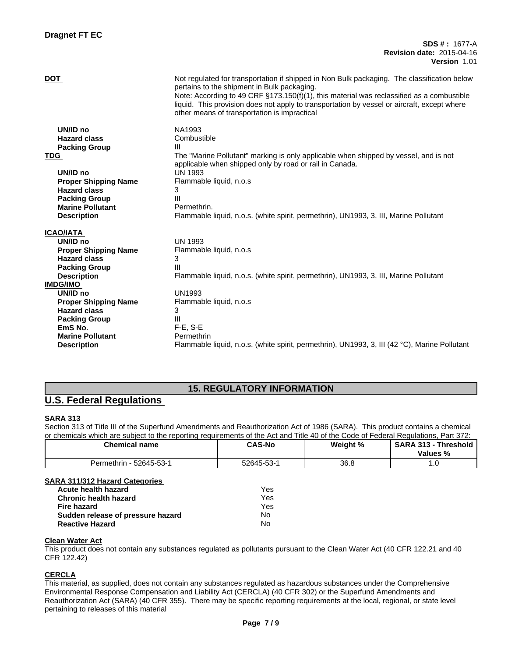| <b>Dragnet FT EC</b>                                                                                                                                                                                                                                                                                      |                                                                                                                                                                                                                                                                                                                                                                                            |
|-----------------------------------------------------------------------------------------------------------------------------------------------------------------------------------------------------------------------------------------------------------------------------------------------------------|--------------------------------------------------------------------------------------------------------------------------------------------------------------------------------------------------------------------------------------------------------------------------------------------------------------------------------------------------------------------------------------------|
|                                                                                                                                                                                                                                                                                                           | <b>SDS #: 1677-A</b><br><b>Revision date: 2015-04-16</b><br>Version 1.01                                                                                                                                                                                                                                                                                                                   |
| <b>DOT</b>                                                                                                                                                                                                                                                                                                | Not regulated for transportation if shipped in Non Bulk packaging. The classification below<br>pertains to the shipment in Bulk packaging.<br>Note: According to 49 CRF $\S173.150(f)(1)$ , this material was reclassified as a combustible<br>liquid. This provision does not apply to transportation by vessel or aircraft, except where<br>other means of transportation is impractical |
| UN/ID no<br><b>Hazard class</b><br><b>Packing Group</b><br><b>TDG</b><br>UN/ID no<br><b>Proper Shipping Name</b><br><b>Hazard class</b><br><b>Packing Group</b><br><b>Marine Pollutant</b><br><b>Description</b>                                                                                          | NA1993<br>Combustible<br>$\mathbf{III}$<br>The "Marine Pollutant" marking is only applicable when shipped by vessel, and is not<br>applicable when shipped only by road or rail in Canada.<br><b>UN 1993</b><br>Flammable liquid, n.o.s<br>3<br>$\mathbf{III}$<br>Permethrin.<br>Flammable liquid, n.o.s. (white spirit, permethrin), UN1993, 3, III, Marine Pollutant                     |
| <b>ICAO/IATA</b><br>UN/ID no<br><b>Proper Shipping Name</b><br><b>Hazard class</b><br><b>Packing Group</b><br><b>Description</b><br><b>IMDG/IMO</b><br>UN/ID no<br><b>Proper Shipping Name</b><br><b>Hazard class</b><br><b>Packing Group</b><br>EmS No.<br><b>Marine Pollutant</b><br><b>Description</b> | <b>UN 1993</b><br>Flammable liquid, n.o.s<br>3<br>III<br>Flammable liquid, n.o.s. (white spirit, permethrin), UN1993, 3, III, Marine Pollutant<br><b>UN1993</b><br>Flammable liquid, n.o.s<br>3<br>III<br>$F-E$ , S-E<br>Permethrin<br>Flammable liquid, n.o.s. (white spirit, permethrin), UN1993, 3, III (42 °C), Marine Pollutant                                                       |

# **15. REGULATORY INFORMATION**

# **U.S. Federal Regulations**

## **SARA 313**

Section 313 of Title III of the Superfund Amendments and Reauthorization Act of 1986 (SARA). This product contains a chemical or chemicals which are subject to the reporting requirements of the Act and Title 40 of the Code of Federal Regulations, Part 372:

| <b>Chemical name</b>                           | <b>CAS-No</b> | Weight % | <b>SARA 313</b><br><b>Chreshold</b><br>$\sim$<br>Values<br>- 70 |
|------------------------------------------------|---------------|----------|-----------------------------------------------------------------|
| -00. LE<br>$\sim$<br>Permethrin<br>-52645-53-1 | 52645-53-     | 36.8     | ت                                                               |

## **SARA 311/312 Hazard Categories**

| <b>Acute health hazard</b>        | Yes. |
|-----------------------------------|------|
| <b>Chronic health hazard</b>      | Yes  |
| <b>Fire hazard</b>                | Yes  |
| Sudden release of pressure hazard | No   |
| <b>Reactive Hazard</b>            | No   |

## **Clean Water Act**

This product does not contain any substances regulated as pollutants pursuant to the Clean Water Act (40 CFR 122.21 and 40 CFR 122.42)

## **CERCLA**

This material, as supplied, does not contain any substances regulated as hazardous substances under the Comprehensive Environmental Response Compensation and Liability Act (CERCLA) (40 CFR 302) or the Superfund Amendments and Reauthorization Act (SARA) (40 CFR 355). There may be specific reporting requirements at the local, regional, or state level pertaining to releases of this material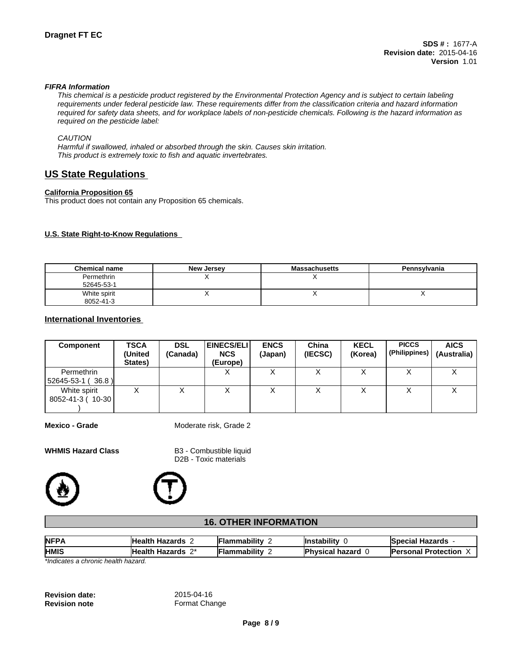### *FIFRA Information*

*This chemical is a pesticide product registered by the Environmental Protection Agency and is subject to certain labeling requirements under federal pesticide law. These requirements differ from the classification criteria and hazard information required for safety data sheets, and for workplace labels of non-pesticide chemicals. Following is the hazard information as required on the pesticide label:*

### *CAUTION*

*Harmful if swallowed, inhaled or absorbed through the skin. Causes skin irritation. This product is extremely toxic to fish and aquatic invertebrates.*

# **US State Regulations**

### **California Proposition 65**

This product does not contain any Proposition 65 chemicals.

### **U.S. State Right-to-Know Regulations**

| <b>Chemical name</b> | <b>New Jersey</b> | <b>Massachusetts</b> | Pennsylvania |
|----------------------|-------------------|----------------------|--------------|
| Permethrin           |                   |                      |              |
| 52645-53-1           |                   |                      |              |
| White spirit         |                   |                      | ,,           |
| 8052-41-3            |                   |                      |              |

## **International Inventories**

| <b>Component</b>                         | <b>TSCA</b><br>(United<br>States) | <b>DSL</b><br>(Canada) | <b>EINECS/ELI</b><br><b>NCS</b><br>(Europe) | <b>ENCS</b><br>(Japan) | China<br>(IECSC) | <b>KECL</b><br>(Korea) | <b>PICCS</b><br>(Philippines) | <b>AICS</b><br>(Australia) |
|------------------------------------------|-----------------------------------|------------------------|---------------------------------------------|------------------------|------------------|------------------------|-------------------------------|----------------------------|
| Permethrin<br>$36.8$ )<br>  52645-53-1 ( |                                   |                        | ⌒                                           | ⌒                      |                  | ∧                      |                               | $\lambda$<br>↗             |
| White spirit<br>8052-41-3 ( 10-30        | ∧                                 | ⌒                      | ⌒                                           | ⌒                      | ⌒                | ⌒                      |                               | $\lambda$                  |

**Mexico - Grade** Moderate risk, Grade 2

**WHMIS Hazard Class** B3 - Combustible liquid

D2B - Toxic materials





# **16. OTHER INFORMATION**

| <b>NFPA</b> | Hazards                    | .<br>abilitv      | .<br>ıbilitv     | <b>Special</b><br>Hazards               |
|-------------|----------------------------|-------------------|------------------|-----------------------------------------|
| <b>HMIS</b> | ົ∩*<br>. Hazards<br>.ealth | .<br>ilammabilitv | lPhvsical hazard | $\lambda$<br><b>Personal Protection</b> |

*\*Indicates a chronic health hazard.*

**Revision date:** 2015-04-16<br> **Revision note** Format Cha

**Format Change**